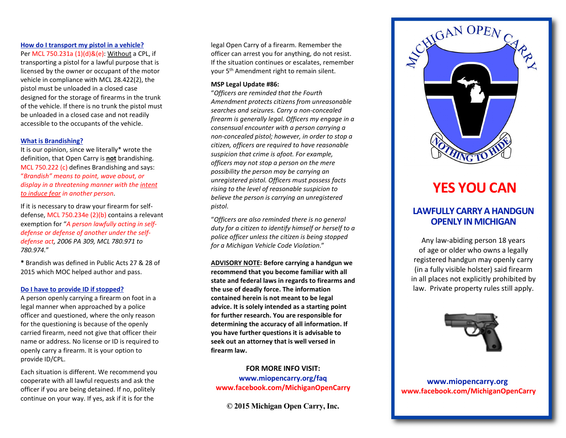## How do I transport my pistol in a vehicle?

Per MCL 750.231a (1)(d)&(e): Without a CPL, if transporting a pistol for a lawful purpose that is licensed by the owner or occupant of the motor vehicle in compliance with MCL 28.422(2), the pistol must be unloaded in a closed case designed for the storage of firearms in the trunk of the vehicle. If there is no trunk the pistol must be unloaded in a closed case and not readily accessible to the occupants of the vehicle.

#### What is Brandishing?

It is our opinion, since we literally\* wrote the definition, that Open Carry is not brandishing. MCL 750.222 (c) defines Brandishing and says: "Brandish" means to point, wave about, or display in a threatening manner with the intent to induce fear in another person.

If it is necessary to draw your firearm for selfdefense, MCL 750.234e (2)(b) contains a relevant exemption for "A person lawfully acting in selfdefense or defense of another under the selfdefense act, 2006 PA 309, MCL 780.971 to 780.974."

\* Brandish was defined in Public Acts 27 & 28 of 2015 which MOC helped author and pass.

#### Do I have to provide ID if stopped?

A person openly carrying a firearm on foot in a legal manner when approached by a police officer and questioned, where the only reason for the questioning is because of the openly carried firearm, need not give that officer their name or address. No license or ID is required to openly carry a firearm. It is your option to provide ID/CPL.

Each situation is different. We recommend you cooperate with all lawful requests and ask the officer if you are being detained. If no, politely continue on your way. If yes, ask if it is for the

legal Open Carry of a firearm. Remember the officer can arrest you for anything, do not resist. If the situation continues or escalates, remember your 5th Amendment right to remain silent.

#### MSP Legal Update #86:

"Officers are reminded that the Fourth Amendment protects citizens from unreasonable searches and seizures. Carry a non-concealed firearm is generally legal. Officers my engage in a consensual encounter with a person carrying a non-concealed pistol; however, in order to stop a citizen, officers are required to have reasonable suspicion that crime is afoot. For example, officers may not stop a person on the mere possibility the person may be carrying an unregistered pistol. Officers must possess facts rising to the level of reasonable suspicion to believe the person is carrying an unregistered pistol.

"Officers are also reminded there is no general duty for a citizen to identify himself or herself to a police officer unless the citizen is being stopped for a Michigan Vehicle Code Violation."

ADVISORY NOTE: Before carrying a handgun we recommend that you become familiar with all state and federal laws in regards to firearms and the use of deadly force. The information contained herein is not meant to be legal advice. It is solely intended as a starting point for further research. You are responsible for determining the accuracy of all information. If you have further questions it is advisable to seek out an attorney that is well versed in firearm law.

# FOR MORE INFO VISIT:

www.miopencarry.org/faq www.facebook.com/MichiganOpenCarry

© 2015 Michigan Open Carry, Inc.



# YES YOU CAN

# LAWFULLY CARRY A HANDGUN OPENLY IN MICHIGAN

Any law-abiding person 18 years of age or older who owns a legally registered handgun may openly carry (in a fully visible holster) said firearm in all places not explicitly prohibited by law. Private property rules still apply.



www.miopencarry.org www.facebook.com/MichiganOpenCarry